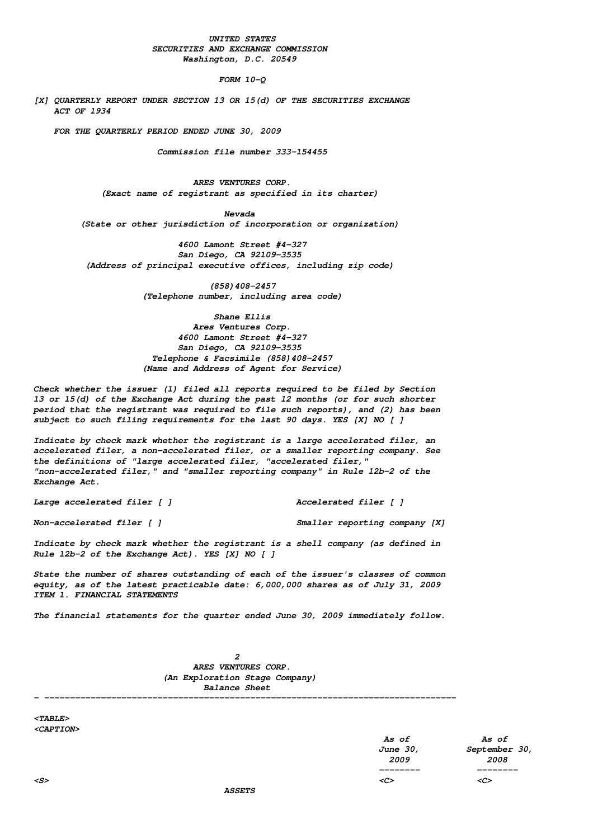# **UNITED STATES SECURITIES AND EXCHANGE COMMISSION Washington, D.C. 20549**

#### **FORM 10-Q**

**[X] QUARTERLY REPORT UNDER SECTION 13 OR 15(d) OF THE SECURITIES EXCHANGE ACT OF 1934**

**FOR THE QUARTERLY PERIOD ENDED JUNE 30, 2009**

**Commission file number 333-154455**

**ARES VENTURES CORP. (Exact name of registrant as specified in its charter)**

**Nevada (State or other jurisdiction of incorporation or organization)**

**4600 Lamont Street #4-327 San Diego, CA 92109-3535 (Address of principal executive offices, including zip code)**

> **(858)408-2457 (Telephone number, including area code)**

> **Shane Ellis Ares Ventures Corp. 4600 Lamont Street #4-327 San Diego, CA 92109-3535 Telephone & Facsimile (858)408-2457 (Name and Address of Agent for Service)**

**Check whether the issuer (1) filed all reports required to be filed by Section 13 or 15(d) of the Exchange Act during the past 12 months (or for such shorter period that the registrant was required to file such reports), and (2) has been subject to such filing requirements for the last 90 days. YES [X] NO [ ]**

**Indicate by check mark whether the registrant is a large accelerated filer, an accelerated filer, a non-accelerated filer, or a smaller reporting company. See the definitions of "large accelerated filer, "accelerated filer," "non-accelerated filer," and "smaller reporting company" in Rule 12b-2 of the Exchange Act.**

**Large accelerated filer [ ] Accelerated filer [ ]**

**Non-accelerated filer [ ] Smaller reporting company [X]**

**Indicate by check mark whether the registrant is a shell company (as defined in Rule 12b-2 of the Exchange Act). YES [X] NO [ ]**

**State the number of shares outstanding of each of the issuer's classes of common equity, as of the latest practicable date: 6,000,000 shares as of July 31, 2009 ITEM 1. FINANCIAL STATEMENTS**

**The financial statements for the quarter ended June 30, 2009 immediately follow.**

**2 ARES VENTURES CORP. (An Exploration Stage Company) Balance Sheet**

**- --------------------------------------------------------------------------------**

**<TABLE> <CAPTION>**

**As of As of June 30, September 30, 2009 2008 -------- -------- <S> <C> <C>**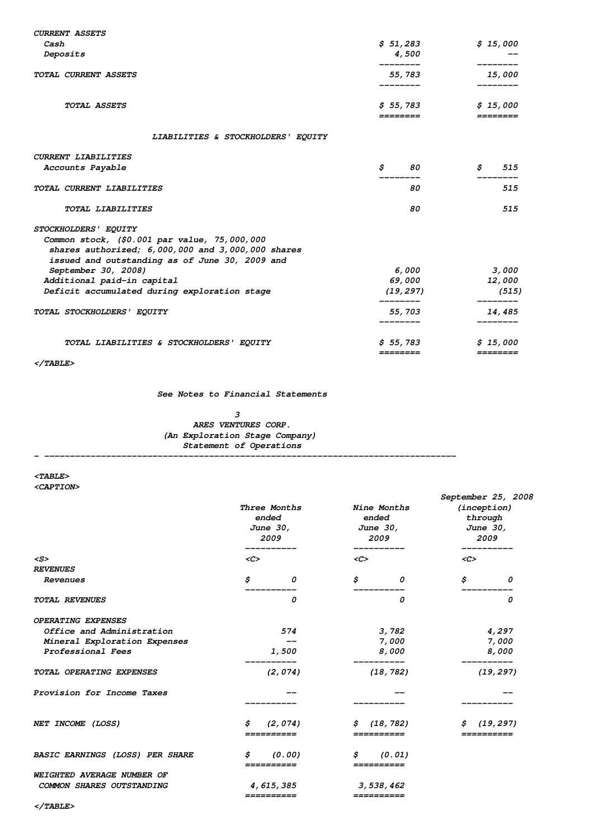| <b>CURRENT ASSETS</b>                                                                                                                                                       |                      |                      |
|-----------------------------------------------------------------------------------------------------------------------------------------------------------------------------|----------------------|----------------------|
| Cash                                                                                                                                                                        | \$51,283             | \$15,000             |
| Deposits                                                                                                                                                                    | 4,500<br>--------    |                      |
| TOTAL CURRENT ASSETS                                                                                                                                                        | 55, 783              | 15,000               |
| TOTAL ASSETS                                                                                                                                                                | \$55,783<br>======== | \$15,000<br>======== |
| LIABILITIES & STOCKHOLDERS' EQUITY                                                                                                                                          |                      |                      |
| <b>CURRENT LIABILITIES</b>                                                                                                                                                  |                      |                      |
| Accounts Payable                                                                                                                                                            | \$<br>80             | \$<br>515            |
| TOTAL CURRENT LIABILITIES                                                                                                                                                   | 80                   | 515                  |
| TOTAL LIABILITIES                                                                                                                                                           | 80                   | 515                  |
| STOCKHOLDERS' EQUITY<br>Common stock, (\$0.001 par value, 75,000,000<br>shares authorized; 6,000,000 and 3,000,000 shares<br>issued and outstanding as of June 30, 2009 and |                      |                      |
| September 30, 2008)                                                                                                                                                         | 6,000                | 3,000                |
| Additional paid-in capital                                                                                                                                                  | 69,000               | <i>12,000</i>        |
| Deficit accumulated during exploration stage                                                                                                                                | (19, 297)            | (515)                |
| TOTAL STOCKHOLDERS' EQUITY                                                                                                                                                  | 55, 703              | 14,485               |
| TOTAL LIABILITIES & STOCKHOLDERS' EQUITY                                                                                                                                    | \$55,783<br>======== | \$15,000<br>======== |
|                                                                                                                                                                             |                      |                      |

**</TABLE>**

**See Notes to Financial Statements**

**3 ARES VENTURES CORP. (An Exploration Stage Company) Statement of Operations**

#### **- --------------------------------------------------------------------------------**

**<TABLE> <CAPTION>**

|                                        | Three Months<br>ended<br>June 30,<br>2009 | <b>Nine Months</b><br>ended<br>June 30,<br>2009 | September 25, 2008<br>(inception)<br>through<br>June 30,<br>2009 |
|----------------------------------------|-------------------------------------------|-------------------------------------------------|------------------------------------------------------------------|
| $\langle S \rangle$                    | $\langle C \rangle$                       | $\langle C \rangle$                             | $\langle C \rangle$                                              |
| <b>REVENUES</b>                        |                                           |                                                 |                                                                  |
| Revenues                               | \$<br>0                                   | \$<br>0                                         | \$<br>0                                                          |
| <b>TOTAL REVENUES</b>                  | 0                                         | 0                                               | 0                                                                |
| <b>OPERATING EXPENSES</b>              |                                           |                                                 |                                                                  |
| Office and Administration              | 574                                       | 3,782                                           | 4,297                                                            |
| Mineral Exploration Expenses           | $- -$                                     | 7,000                                           | 7,000                                                            |
| Professional Fees                      | 1,500                                     | 8,000                                           | 8,000                                                            |
| TOTAL OPERATING EXPENSES               | (2, 074)                                  | (18, 782)                                       | (19, 297)                                                        |
| Provision for Income Taxes             |                                           |                                                 |                                                                  |
| NET INCOME (LOSS)                      | (2,074)<br>\$                             | \$(18, 782)                                     | \$(19, 297)                                                      |
|                                        |                                           |                                                 |                                                                  |
| <b>BASIC EARNINGS (LOSS) PER SHARE</b> | $\frac{1}{2}$ (0.00)<br>__________        | $\sin(0.01)$<br>__________                      |                                                                  |
| WEIGHTED AVERAGE NUMBER OF             |                                           |                                                 |                                                                  |
| COMMON SHARES OUTSTANDING              | 4, 615, 385                               | 3,538,462                                       |                                                                  |
|                                        | ==========                                | ==========                                      |                                                                  |

**</TABLE>**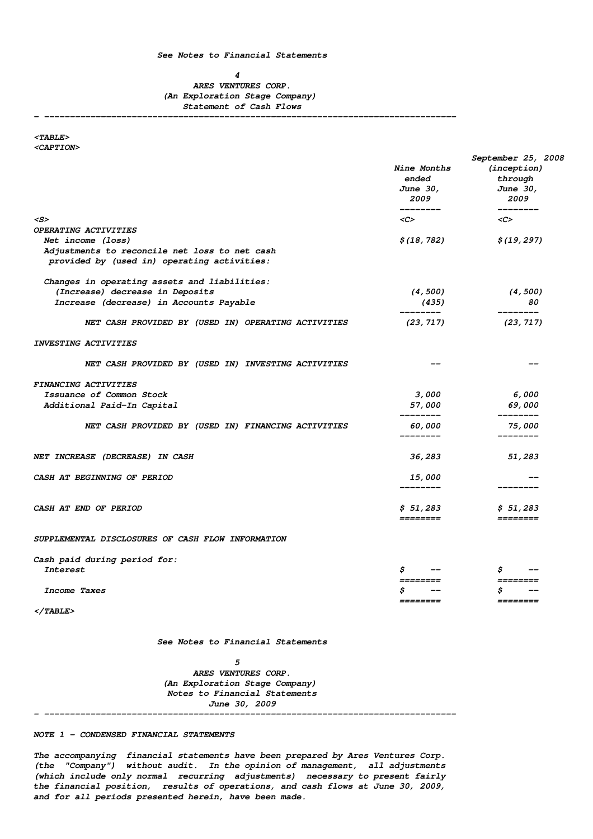# **4 ARES VENTURES CORP. (An Exploration Stage Company) Statement of Cash Flows**

**- --------------------------------------------------------------------------------**

# **<TABLE>**

**<CAPTION>**

|                                                                                              | <b>Nine Months</b><br>ended<br>June 30,<br>2009<br>________ | September 25, 2008<br>(inception)<br>through<br>June 30,<br>2009<br>--------- |
|----------------------------------------------------------------------------------------------|-------------------------------------------------------------|-------------------------------------------------------------------------------|
| <s></s>                                                                                      | <c></c>                                                     | $\langle C \rangle$                                                           |
| OPERATING ACTIVITIES                                                                         |                                                             |                                                                               |
| Net income (loss)                                                                            | \$ (18, 782)                                                | \$(19, 297)                                                                   |
| Adjustments to reconcile net loss to net cash<br>provided by (used in) operating activities: |                                                             |                                                                               |
| Changes in operating assets and liabilities:                                                 |                                                             |                                                                               |
| (Increase) decrease in Deposits                                                              | (4, 500)                                                    | (4, 500)                                                                      |
| Increase (decrease) in Accounts Payable                                                      | (435)<br>______                                             | 80                                                                            |
| NET CASH PROVIDED BY (USED IN) OPERATING ACTIVITIES                                          | (23, 717)                                                   | (23, 717)                                                                     |
| INVESTING ACTIVITIES                                                                         |                                                             |                                                                               |
| NET CASH PROVIDED BY (USED IN) INVESTING ACTIVITIES                                          |                                                             |                                                                               |
| FINANCING ACTIVITIES                                                                         |                                                             |                                                                               |
| Issuance of Common Stock                                                                     | 3,000                                                       | 6,000                                                                         |
| Additional Paid-In Capital                                                                   | <i>57,000</i><br>--------                                   | 69,000<br>--------                                                            |
| NET CASH PROVIDED BY (USED IN) FINANCING ACTIVITIES                                          | 60,000<br>---------                                         | 75,000<br>--------                                                            |
| NET INCREASE (DECREASE) IN CASH                                                              | 36,283                                                      | 51,283                                                                        |
| CASH AT BEGINNING OF PERIOD                                                                  | <i><b>15,000</b></i>                                        |                                                                               |
|                                                                                              | ---------                                                   |                                                                               |
| CASH AT END OF PERIOD                                                                        | \$51,283<br>========                                        | \$51,283                                                                      |
| SUPPLEMENTAL DISCLOSURES OF CASH FLOW INFORMATION                                            |                                                             |                                                                               |
| Cash paid during period for:                                                                 |                                                             |                                                                               |
| <b>Interest</b>                                                                              | \$                                                          | Ŝ.                                                                            |
|                                                                                              | ========                                                    | ========                                                                      |
| Income Taxes                                                                                 | \$.                                                         | S                                                                             |
| $\langle$ /TABLE>                                                                            | ========                                                    | ========                                                                      |
| See Notes to Financial Statements                                                            |                                                             |                                                                               |

**5 ARES VENTURES CORP. (An Exploration Stage Company) Notes to Financial Statements June 30, 2009**

**- --------------------------------------------------------------------------------**

# **NOTE 1 - CONDENSED FINANCIAL STATEMENTS**

**The accompanying financial statements have been prepared by Ares Ventures Corp. (the "Company") without audit. In the opinion of management, all adjustments (which include only normal recurring adjustments) necessary to present fairly the financial position, results of operations, and cash flows at June 30, 2009, and for all periods presented herein, have been made.**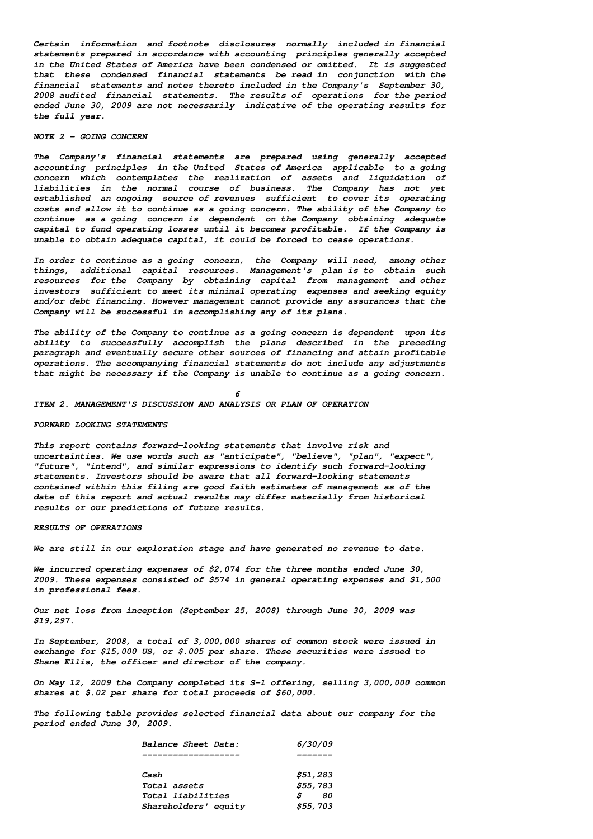**Certain information and footnote disclosures normally included in financial statements prepared in accordance with accounting principles generally accepted in the United States of America have been condensed or omitted. It is suggested that these condensed financial statements be read in conjunction with the financial statements and notes thereto included in the Company's September 30, 2008 audited financial statements. The results of operations for the period ended June 30, 2009 are not necessarily indicative of the operating results for the full year.**

# **NOTE 2 - GOING CONCERN**

**The Company's financial statements are prepared using generally accepted accounting principles in the United States of America applicable to a going concern which contemplates the realization of assets and liquidation of liabilities in the normal course of business. The Company has not yet established an ongoing source of revenues sufficient to cover its operating costs and allow it to continue as a going concern. The ability of the Company to continue as a going concern is dependent on the Company obtaining adequate capital to fund operating losses until it becomes profitable. If the Company is unable to obtain adequate capital, it could be forced to cease operations.**

**In order to continue as a going concern, the Company will need, among other things, additional capital resources. Management's plan is to obtain such resources for the Company by obtaining capital from management and other investors sufficient to meet its minimal operating expenses and seeking equity and/or debt financing. However management cannot provide any assurances that the Company will be successful in accomplishing any of its plans.**

**The ability of the Company to continue as a going concern is dependent upon its ability to successfully accomplish the plans described in the preceding paragraph and eventually secure other sources of financing and attain profitable operations. The accompanying financial statements do not include any adjustments that might be necessary if the Company is unable to continue as a going concern.**

**6**

**ITEM 2. MANAGEMENT'S DISCUSSION AND ANALYSIS OR PLAN OF OPERATION**

## **FORWARD LOOKING STATEMENTS**

**This report contains forward-looking statements that involve risk and uncertainties. We use words such as "anticipate", "believe", "plan", "expect", "future", "intend", and similar expressions to identify such forward-looking statements. Investors should be aware that all forward-looking statements contained within this filing are good faith estimates of management as of the date of this report and actual results may differ materially from historical results or our predictions of future results.**

# **RESULTS OF OPERATIONS**

**We are still in our exploration stage and have generated no revenue to date.**

**We incurred operating expenses of \$2,074 for the three months ended June 30, 2009. These expenses consisted of \$574 in general operating expenses and \$1,500 in professional fees.**

**Our net loss from inception (September 25, 2008) through June 30, 2009 was \$19,297.**

**In September, 2008, a total of 3,000,000 shares of common stock were issued in exchange for \$15,000 US, or \$.005 per share. These securities were issued to Shane Ellis, the officer and director of the company.**

**On May 12, 2009 the Company completed its S-1 offering, selling 3,000,000 common shares at \$.02 per share for total proceeds of \$60,000.**

**The following table provides selected financial data about our company for the period ended June 30, 2009.**

| 6/30/09<br>Balance Sheet Data: |          |  |
|--------------------------------|----------|--|
|                                |          |  |
|                                |          |  |
| Cash                           | \$51,283 |  |
| <i>Total assets</i>            | \$55,783 |  |
| <i>Total liabilities</i>       | S.<br>80 |  |
| Shareholders' equity           | \$55,703 |  |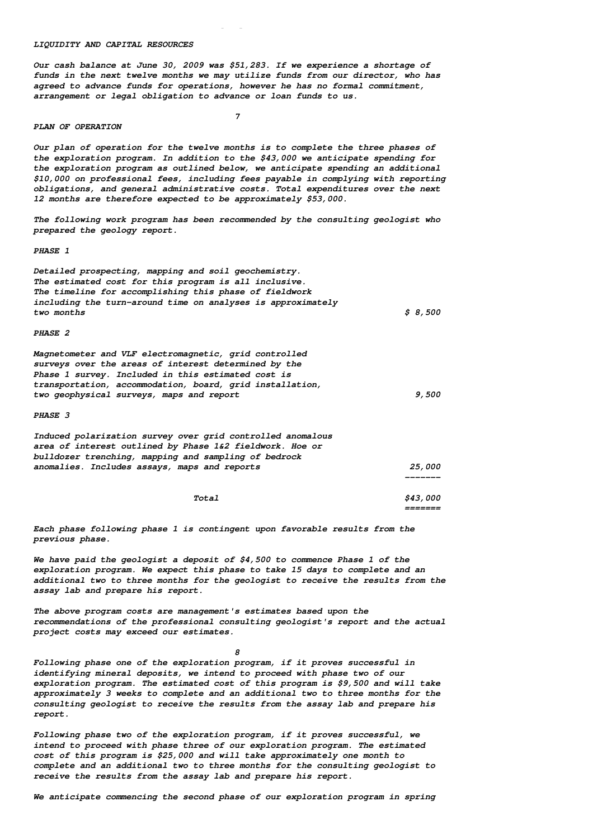#### **LIQUIDITY AND CAPITAL RESOURCES**

**Our cash balance at June 30, 2009 was \$51,283. If we experience a shortage of funds in the next twelve months we may utilize funds from our director, who has agreed to advance funds for operations, however he has no formal commitment, arrangement or legal obligation to advance or loan funds to us.**

**7**

**Shareholders' equity \$55,703**

#### **PLAN OF OPERATION**

**Our plan of operation for the twelve months is to complete the three phases of the exploration program. In addition to the \$43,000 we anticipate spending for the exploration program as outlined below, we anticipate spending an additional \$10,000 on professional fees, including fees payable in complying with reporting obligations, and general administrative costs. Total expenditures over the next 12 months are therefore expected to be approximately \$53,000.**

**The following work program has been recommended by the consulting geologist who prepared the geology report.**

**PHASE 1**

| Total                                                                                                                                                                                                                                                                       | <i><b>\$43,000</b></i><br>======= |
|-----------------------------------------------------------------------------------------------------------------------------------------------------------------------------------------------------------------------------------------------------------------------------|-----------------------------------|
| Induced polarization survey over grid controlled anomalous<br>area of interest outlined by Phase 1&2 fieldwork. Hoe or<br>bulldozer trenching, mapping and sampling of bedrock<br>anomalies. Includes assays, maps and reports                                              | <i><b>25,000</b></i>              |
| PHASE 3                                                                                                                                                                                                                                                                     |                                   |
| Magnetometer and VLF electromagnetic, grid controlled<br>surveys over the areas of interest determined by the<br>Phase 1 survey. Included in this estimated cost is<br>transportation, accommodation, board, grid installation,<br>two geophysical surveys, maps and report | 9,500                             |
| PHASE 2                                                                                                                                                                                                                                                                     |                                   |
| Detailed prospecting, mapping and soil geochemistry.<br>The estimated cost for this program is all inclusive.<br>The timeline for accomplishing this phase of fieldwork<br>including the turn-around time on analyses is approximately<br>two months                        | \$8,500                           |

**Each phase following phase 1 is contingent upon favorable results from the previous phase.**

**We have paid the geologist a deposit of \$4,500 to commence Phase 1 of the exploration program. We expect this phase to take 15 days to complete and an additional two to three months for the geologist to receive the results from the assay lab and prepare his report.**

**The above program costs are management's estimates based upon the recommendations of the professional consulting geologist's report and the actual project costs may exceed our estimates.**

**8**

**Following phase one of the exploration program, if it proves successful in identifying mineral deposits, we intend to proceed with phase two of our exploration program. The estimated cost of this program is \$9,500 and will take approximately 3 weeks to complete and an additional two to three months for the consulting geologist to receive the results from the assay lab and prepare his report.**

**Following phase two of the exploration program, if it proves successful, we intend to proceed with phase three of our exploration program. The estimated cost of this program is \$25,000 and will take approximately one month to complete and an additional two to three months for the consulting geologist to receive the results from the assay lab and prepare his report.**

**We anticipate commencing the second phase of our exploration program in spring**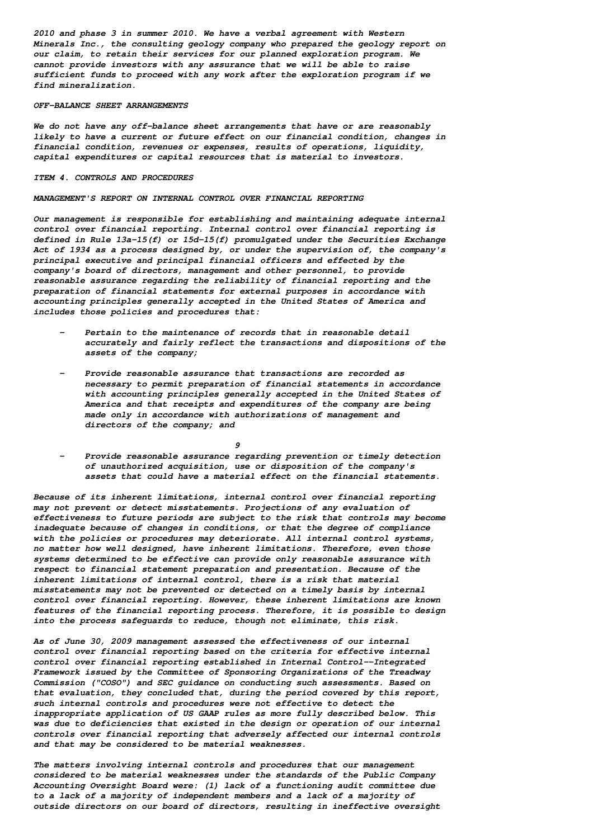**2010 and phase 3 in summer 2010. We have a verbal agreement with Western Minerals Inc., the consulting geology company who prepared the geology report on our claim, to retain their services for our planned exploration program. We cannot provide investors with any assurance that we will be able to raise sufficient funds to proceed with any work after the exploration program if we find mineralization.**

### **OFF-BALANCE SHEET ARRANGEMENTS**

**We do not have any off-balance sheet arrangements that have or are reasonably likely to have a current or future effect on our financial condition, changes in financial condition, revenues or expenses, results of operations, liquidity, capital expenditures or capital resources that is material to investors.**

### **ITEM 4. CONTROLS AND PROCEDURES**

#### **MANAGEMENT'S REPORT ON INTERNAL CONTROL OVER FINANCIAL REPORTING**

**Our management is responsible for establishing and maintaining adequate internal control over financial reporting. Internal control over financial reporting is defined in Rule 13a-15(f) or 15d-15(f) promulgated under the Securities Exchange Act of 1934 as a process designed by, or under the supervision of, the company's principal executive and principal financial officers and effected by the company's board of directors, management and other personnel, to provide reasonable assurance regarding the reliability of financial reporting and the preparation of financial statements for external purposes in accordance with accounting principles generally accepted in the United States of America and includes those policies and procedures that:**

- **- Pertain to the maintenance of records that in reasonable detail accurately and fairly reflect the transactions and dispositions of the assets of the company;**
- **- Provide reasonable assurance that transactions are recorded as necessary to permit preparation of financial statements in accordance with accounting principles generally accepted in the United States of America and that receipts and expenditures of the company are being made only in accordance with authorizations of management and directors of the company; and**

**9**

**- Provide reasonable assurance regarding prevention or timely detection of unauthorized acquisition, use or disposition of the company's assets that could have a material effect on the financial statements.**

**Because of its inherent limitations, internal control over financial reporting may not prevent or detect misstatements. Projections of any evaluation of effectiveness to future periods are subject to the risk that controls may become inadequate because of changes in conditions, or that the degree of compliance with the policies or procedures may deteriorate. All internal control systems, no matter how well designed, have inherent limitations. Therefore, even those systems determined to be effective can provide only reasonable assurance with respect to financial statement preparation and presentation. Because of the inherent limitations of internal control, there is a risk that material misstatements may not be prevented or detected on a timely basis by internal control over financial reporting. However, these inherent limitations are known features of the financial reporting process. Therefore, it is possible to design into the process safeguards to reduce, though not eliminate, this risk.**

**As of June 30, 2009 management assessed the effectiveness of our internal control over financial reporting based on the criteria for effective internal control over financial reporting established in Internal Control--Integrated Framework issued by the Committee of Sponsoring Organizations of the Treadway Commission ("COSO") and SEC guidance on conducting such assessments. Based on that evaluation, they concluded that, during the period covered by this report, such internal controls and procedures were not effective to detect the inappropriate application of US GAAP rules as more fully described below. This was due to deficiencies that existed in the design or operation of our internal controls over financial reporting that adversely affected our internal controls and that may be considered to be material weaknesses.**

**The matters involving internal controls and procedures that our management considered to be material weaknesses under the standards of the Public Company Accounting Oversight Board were: (1) lack of a functioning audit committee due to a lack of a majority of independent members and a lack of a majority of outside directors on our board of directors, resulting in ineffective oversight**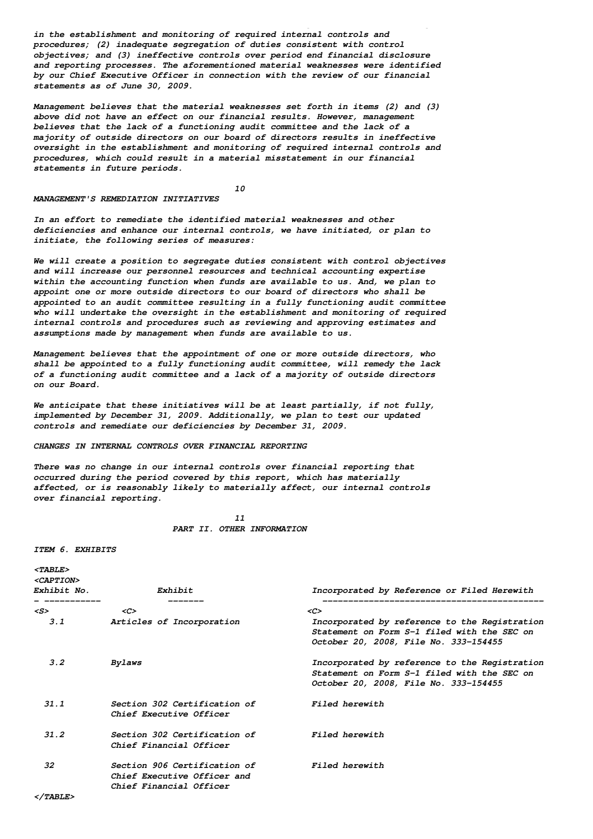**in the establishment and monitoring of required internal controls and procedures; (2) inadequate segregation of duties consistent with control objectives; and (3) ineffective controls over period end financial disclosure and reporting processes. The aforementioned material weaknesses were identified by our Chief Executive Officer in connection with the review of our financial statements as of June 30, 2009.**

**outside directors on our board of directors, resulting in ineffective oversight**

**Management believes that the material weaknesses set forth in items (2) and (3) above did not have an effect on our financial results. However, management believes that the lack of a functioning audit committee and the lack of a majority of outside directors on our board of directors results in ineffective oversight in the establishment and monitoring of required internal controls and procedures, which could result in a material misstatement in our financial statements in future periods.**

**10**

#### **MANAGEMENT'S REMEDIATION INITIATIVES**

**In an effort to remediate the identified material weaknesses and other deficiencies and enhance our internal controls, we have initiated, or plan to initiate, the following series of measures:**

**We will create a position to segregate duties consistent with control objectives and will increase our personnel resources and technical accounting expertise within the accounting function when funds are available to us. And, we plan to appoint one or more outside directors to our board of directors who shall be appointed to an audit committee resulting in a fully functioning audit committee who will undertake the oversight in the establishment and monitoring of required internal controls and procedures such as reviewing and approving estimates and assumptions made by management when funds are available to us.**

**Management believes that the appointment of one or more outside directors, who shall be appointed to a fully functioning audit committee, will remedy the lack of a functioning audit committee and a lack of a majority of outside directors on our Board.**

**We anticipate that these initiatives will be at least partially, if not fully, implemented by December 31, 2009. Additionally, we plan to test our updated controls and remediate our deficiencies by December 31, 2009.**

#### **CHANGES IN INTERNAL CONTROLS OVER FINANCIAL REPORTING**

**There was no change in our internal controls over financial reporting that occurred during the period covered by this report, which has materially affected, or is reasonably likely to materially affect, our internal controls over financial reporting.**

> **11 PART II. OTHER INFORMATION**

## **ITEM 6. EXHIBITS**

| $TABLE$<br><caption><br/>Exhibit No.<br/>-----------</caption> | Exhibit                                                                                | Incorporated by Reference or Filed Herewith                                                                                                  |
|----------------------------------------------------------------|----------------------------------------------------------------------------------------|----------------------------------------------------------------------------------------------------------------------------------------------|
| $\langle S \rangle$                                            | $\langle C \rangle$                                                                    | $\langle C \rangle$                                                                                                                          |
| 3.1                                                            | Articles of Incorporation                                                              | <i>Incorporated by reference to the Reqistration</i><br>Statement on Form S-1 filed with the SEC on<br>October 20, 2008, File No. 333-154455 |
| $3.2^{\circ}$                                                  | Bylaws                                                                                 | Incorporated by reference to the Registration<br>Statement on Form S-1 filed with the SEC on<br>October 20, 2008, File No. 333-154455        |
| 31.1                                                           | Section 302 Certification of<br>Chief Executive Officer                                | Filed herewith                                                                                                                               |
| 31.2                                                           | Section 302 Certification of<br>Chief Financial Officer                                | Filed herewith                                                                                                                               |
| 32                                                             | Section 906 Certification of<br>Chief Executive Officer and<br>Chief Financial Officer | Filed herewith                                                                                                                               |
| $\langle$ /TABLE>                                              |                                                                                        |                                                                                                                                              |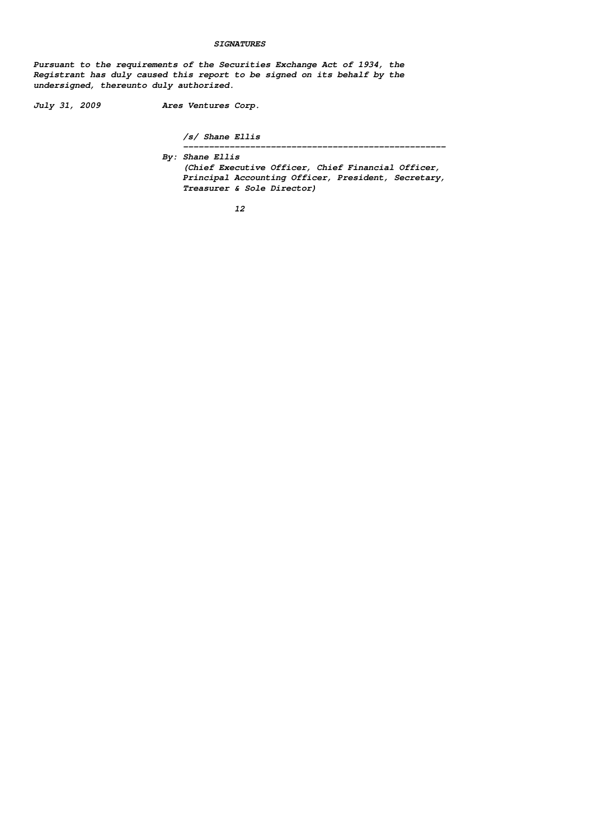# **SIGNATURES**

**Pursuant to the requirements of the Securities Exchange Act of 1934, the Registrant has duly caused this report to be signed on its behalf by the undersigned, thereunto duly authorized.**

**July 31, 2009 Ares Ventures Corp.**

**/s/ Shane Ellis ---------------------------------------------------**

**By: Shane Ellis (Chief Executive Officer, Chief Financial Officer, Principal Accounting Officer, President, Secretary, Treasurer & Sole Director)**

**12**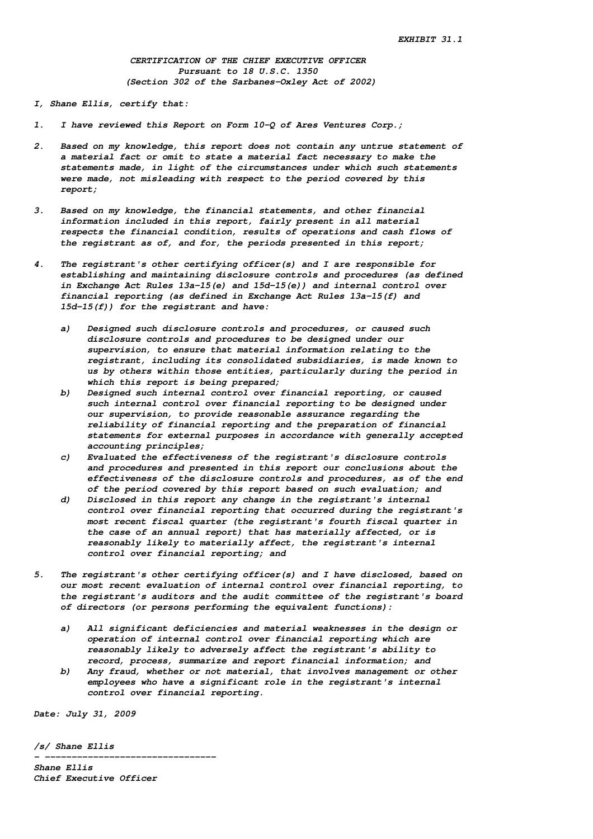**CERTIFICATION OF THE CHIEF EXECUTIVE OFFICER Pursuant to 18 U.S.C. 1350 (Section 302 of the Sarbanes-Oxley Act of 2002)**

- **I, Shane Ellis, certify that:**
- **1. I have reviewed this Report on Form 10-Q of Ares Ventures Corp.;**
- **2. Based on my knowledge, this report does not contain any untrue statement of a material fact or omit to state a material fact necessary to make the statements made, in light of the circumstances under which such statements were made, not misleading with respect to the period covered by this report;**
- **3. Based on my knowledge, the financial statements, and other financial information included in this report, fairly present in all material respects the financial condition, results of operations and cash flows of the registrant as of, and for, the periods presented in this report;**
- **4. The registrant's other certifying officer(s) and I are responsible for establishing and maintaining disclosure controls and procedures (as defined in Exchange Act Rules 13a-15(e) and 15d-15(e)) and internal control over financial reporting (as defined in Exchange Act Rules 13a-15(f) and 15d-15(f)) for the registrant and have:**
	- **a) Designed such disclosure controls and procedures, or caused such disclosure controls and procedures to be designed under our supervision, to ensure that material information relating to the registrant, including its consolidated subsidiaries, is made known to us by others within those entities, particularly during the period in which this report is being prepared;**
	- **b) Designed such internal control over financial reporting, or caused such internal control over financial reporting to be designed under our supervision, to provide reasonable assurance regarding the reliability of financial reporting and the preparation of financial statements for external purposes in accordance with generally accepted accounting principles;**
	- **c) Evaluated the effectiveness of the registrant's disclosure controls and procedures and presented in this report our conclusions about the effectiveness of the disclosure controls and procedures, as of the end of the period covered by this report based on such evaluation; and**
	- **d) Disclosed in this report any change in the registrant's internal control over financial reporting that occurred during the registrant's most recent fiscal quarter (the registrant's fourth fiscal quarter in the case of an annual report) that has materially affected, or is reasonably likely to materially affect, the registrant's internal control over financial reporting; and**
- **5. The registrant's other certifying officer(s) and I have disclosed, based on our most recent evaluation of internal control over financial reporting, to the registrant's auditors and the audit committee of the registrant's board of directors (or persons performing the equivalent functions):**
	- **a) All significant deficiencies and material weaknesses in the design or operation of internal control over financial reporting which are reasonably likely to adversely affect the registrant's ability to record, process, summarize and report financial information; and**
	- **b) Any fraud, whether or not material, that involves management or other employees who have a significant role in the registrant's internal control over financial reporting.**

**Date: July 31, 2009**

**/s/ Shane Ellis**

**- -------------------------------- Shane Ellis Chief Executive Officer**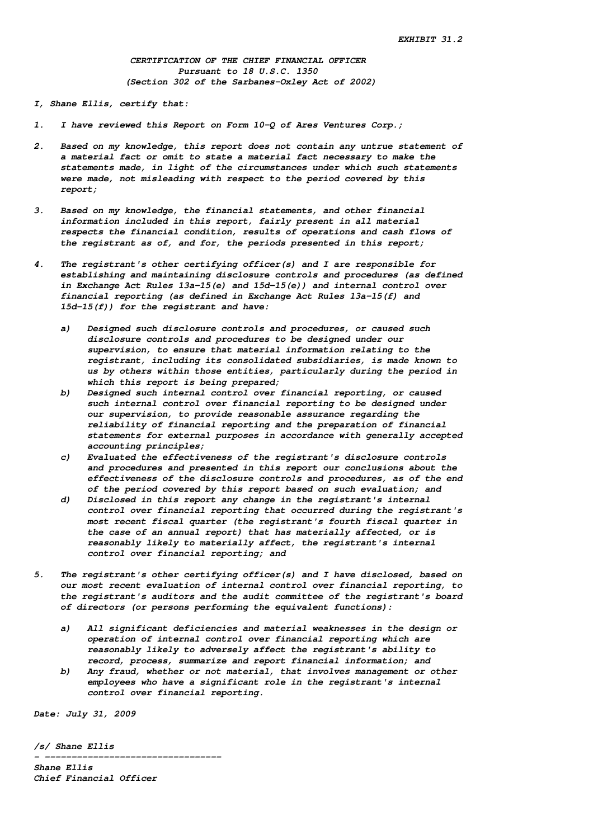**CERTIFICATION OF THE CHIEF FINANCIAL OFFICER Pursuant to 18 U.S.C. 1350 (Section 302 of the Sarbanes-Oxley Act of 2002)**

- **I, Shane Ellis, certify that:**
- **1. I have reviewed this Report on Form 10-Q of Ares Ventures Corp.;**
- **2. Based on my knowledge, this report does not contain any untrue statement of a material fact or omit to state a material fact necessary to make the statements made, in light of the circumstances under which such statements were made, not misleading with respect to the period covered by this report;**
- **3. Based on my knowledge, the financial statements, and other financial information included in this report, fairly present in all material respects the financial condition, results of operations and cash flows of the registrant as of, and for, the periods presented in this report;**
- **4. The registrant's other certifying officer(s) and I are responsible for establishing and maintaining disclosure controls and procedures (as defined in Exchange Act Rules 13a-15(e) and 15d-15(e)) and internal control over financial reporting (as defined in Exchange Act Rules 13a-15(f) and 15d-15(f)) for the registrant and have:**
	- **a) Designed such disclosure controls and procedures, or caused such disclosure controls and procedures to be designed under our supervision, to ensure that material information relating to the registrant, including its consolidated subsidiaries, is made known to us by others within those entities, particularly during the period in which this report is being prepared;**
	- **b) Designed such internal control over financial reporting, or caused such internal control over financial reporting to be designed under our supervision, to provide reasonable assurance regarding the reliability of financial reporting and the preparation of financial statements for external purposes in accordance with generally accepted accounting principles;**
	- **c) Evaluated the effectiveness of the registrant's disclosure controls and procedures and presented in this report our conclusions about the effectiveness of the disclosure controls and procedures, as of the end of the period covered by this report based on such evaluation; and**
	- **d) Disclosed in this report any change in the registrant's internal control over financial reporting that occurred during the registrant's most recent fiscal quarter (the registrant's fourth fiscal quarter in the case of an annual report) that has materially affected, or is reasonably likely to materially affect, the registrant's internal control over financial reporting; and**
- **5. The registrant's other certifying officer(s) and I have disclosed, based on our most recent evaluation of internal control over financial reporting, to the registrant's auditors and the audit committee of the registrant's board of directors (or persons performing the equivalent functions):**
	- **a) All significant deficiencies and material weaknesses in the design or operation of internal control over financial reporting which are reasonably likely to adversely affect the registrant's ability to record, process, summarize and report financial information; and**
	- **b) Any fraud, whether or not material, that involves management or other employees who have a significant role in the registrant's internal control over financial reporting.**

**Date: July 31, 2009**

**/s/ Shane Ellis**

**- --------------------------------- Shane Ellis Chief Financial Officer**